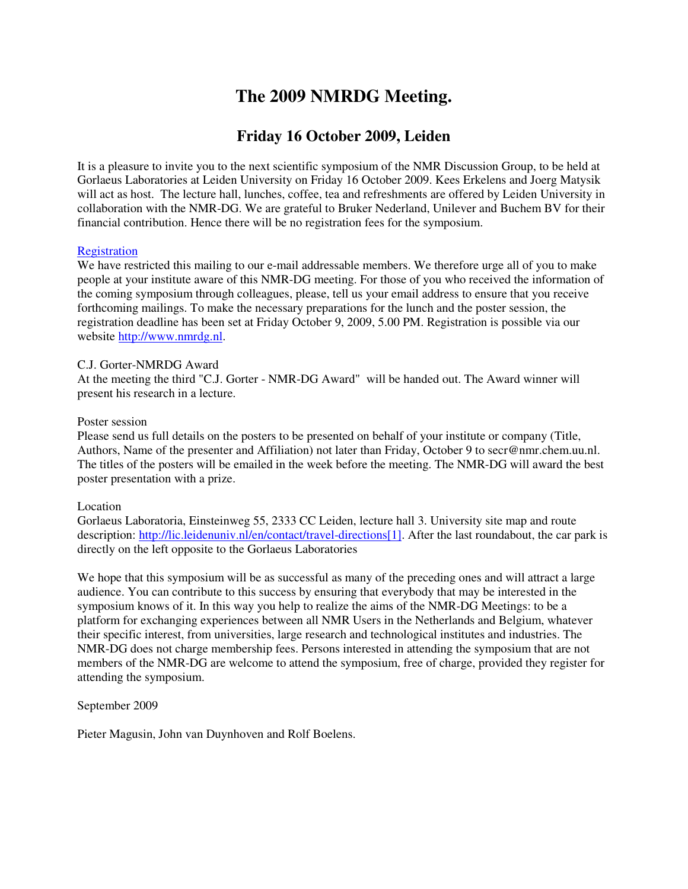# **The 2009 NMRDG Meeting.**

# **Friday 16 October 2009, Leiden**

It is a pleasure to invite you to the next scientific symposium of the NMR Discussion Group, to be held at Gorlaeus Laboratories at Leiden University on Friday 16 October 2009. Kees Erkelens and Joerg Matysik will act as host. The lecture hall, lunches, coffee, tea and refreshments are offered by Leiden University in collaboration with the NMR-DG. We are grateful to Bruker Nederland, Unilever and Buchem BV for their financial contribution. Hence there will be no registration fees for the symposium.

### **Registration**

We have restricted this mailing to our e-mail addressable members. We therefore urge all of you to make people at your institute aware of this NMR-DG meeting. For those of you who received the information of the coming symposium through colleagues, please, tell us your email address to ensure that you receive forthcoming mailings. To make the necessary preparations for the lunch and the poster session, the registration deadline has been set at Friday October 9, 2009, 5.00 PM. Registration is possible via our website http://www.nmrdg.nl.

### C.J. Gorter-NMRDG Award

At the meeting the third "C.J. Gorter - NMR-DG Award" will be handed out. The Award winner will present his research in a lecture.

#### Poster session

Please send us full details on the posters to be presented on behalf of your institute or company (Title, Authors, Name of the presenter and Affiliation) not later than Friday, October 9 to secr@nmr.chem.uu.nl. The titles of the posters will be emailed in the week before the meeting. The NMR-DG will award the best poster presentation with a prize.

#### Location

Gorlaeus Laboratoria, Einsteinweg 55, 2333 CC Leiden, lecture hall 3. University site map and route description: http://lic.leidenuniv.nl/en/contact/travel-directions[1]. After the last roundabout, the car park is directly on the left opposite to the Gorlaeus Laboratories

We hope that this symposium will be as successful as many of the preceding ones and will attract a large audience. You can contribute to this success by ensuring that everybody that may be interested in the symposium knows of it. In this way you help to realize the aims of the NMR-DG Meetings: to be a platform for exchanging experiences between all NMR Users in the Netherlands and Belgium, whatever their specific interest, from universities, large research and technological institutes and industries. The NMR-DG does not charge membership fees. Persons interested in attending the symposium that are not members of the NMR-DG are welcome to attend the symposium, free of charge, provided they register for attending the symposium.

September 2009

Pieter Magusin, John van Duynhoven and Rolf Boelens.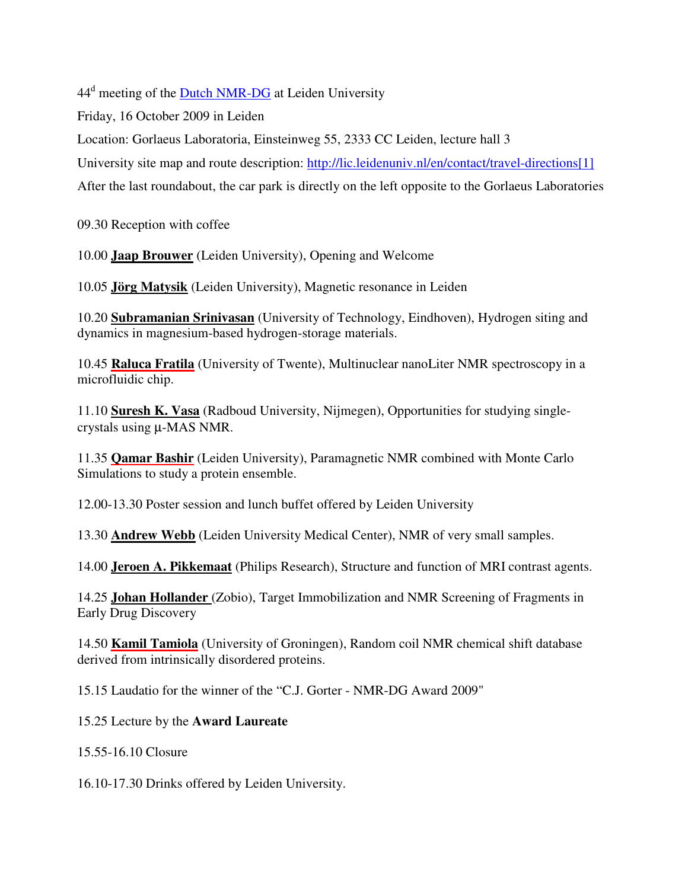44<sup>d</sup> meeting of the **Dutch NMR-DG** at Leiden University

Friday, 16 October 2009 in Leiden

Location: Gorlaeus Laboratoria, Einsteinweg 55, 2333 CC Leiden, lecture hall 3

University site map and route description: http://lic.leidenuniv.nl/en/contact/travel-directions[1]

After the last roundabout, the car park is directly on the left opposite to the Gorlaeus Laboratories

09.30 Reception with coffee

10.00 **Jaap Brouwer** (Leiden University), Opening and Welcome

10.05 **Jörg Matysik** (Leiden University), Magnetic resonance in Leiden

10.20 **Subramanian Srinivasan** (University of Technology, Eindhoven), Hydrogen siting and dynamics in magnesium-based hydrogen-storage materials.

10.45 **Raluca Fratila** (University of Twente), Multinuclear nanoLiter NMR spectroscopy in a microfluidic chip.

11.10 **Suresh K. Vasa** (Radboud University, Nijmegen), Opportunities for studying singlecrystals using µ-MAS NMR.

11.35 **Qamar Bashir** (Leiden University), Paramagnetic NMR combined with Monte Carlo Simulations to study a protein ensemble.

12.00-13.30 Poster session and lunch buffet offered by Leiden University

13.30 **Andrew Webb** (Leiden University Medical Center), NMR of very small samples.

14.00 **Jeroen A. Pikkemaat** (Philips Research), Structure and function of MRI contrast agents.

14.25 **Johan Hollander** (Zobio), Target Immobilization and NMR Screening of Fragments in Early Drug Discovery

14.50 **Kamil Tamiola** (University of Groningen), Random coil NMR chemical shift database derived from intrinsically disordered proteins.

15.15 Laudatio for the winner of the "C.J. Gorter - NMR-DG Award 2009"

15.25 Lecture by the **Award Laureate**

15.55-16.10 Closure

16.10-17.30 Drinks offered by Leiden University.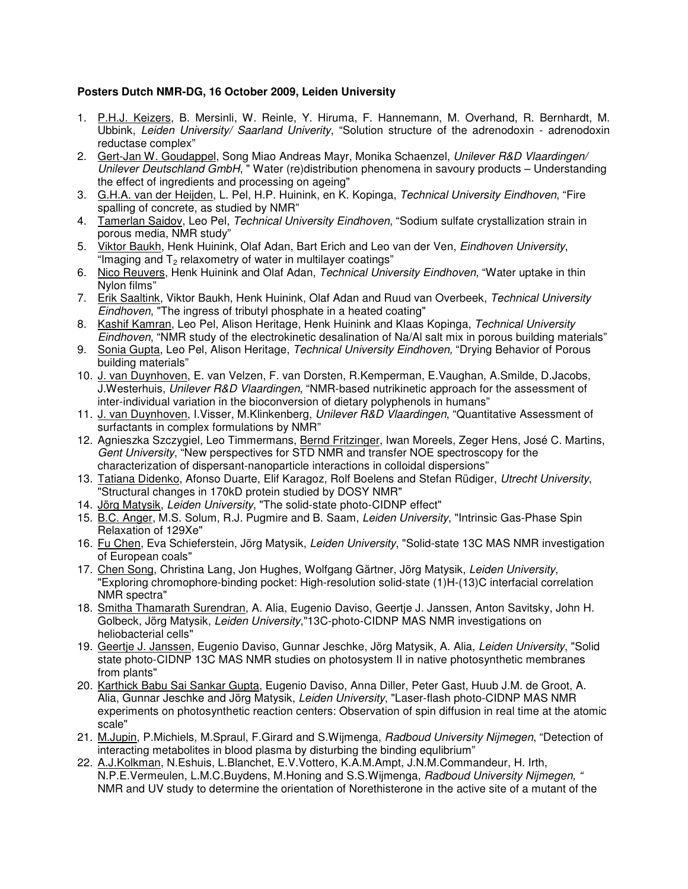## **Posters Dutch NMR-DG, 16 October 2009, Leiden University**

- 1. P.H.J. Keizers, B. Mersinli, W. Reinle, Y. Hiruma, F. Hannemann, M. Overhand, R. Bernhardt, M. Ubbink, Leiden University/ Saarland Univerity, "Solution structure of the adrenodoxin - adrenodoxin reductase complex"
- 2. Gert-Jan W. Goudappel, Song Miao Andreas Mayr, Monika Schaenzel, Unilever R&D Vlaardingen/ Unilever Deutschland GmbH, " Water (re)distribution phenomena in savoury products – Understanding the effect of ingredients and processing on ageing"
- 3. G.H.A. van der Heijden, L. Pel, H.P. Huinink, en K. Kopinga, Technical University Eindhoven, "Fire spalling of concrete, as studied by NMR"
- 4. Tamerlan Saidov, Leo Pel, Technical University Eindhoven, "Sodium sulfate crystallization strain in porous media, NMR study"
- 5. Viktor Baukh, Henk Huinink, Olaf Adan, Bart Erich and Leo van der Ven, Eindhoven University, "Imaging and  $T<sub>2</sub>$  relaxometry of water in multilayer coatings"
- 6. Nico Reuvers, Henk Huinink and Olaf Adan, Technical University Eindhoven, "Water uptake in thin Nylon films"
- 7. Erik Saaltink, Viktor Baukh, Henk Huinink, Olaf Adan and Ruud van Overbeek, Technical University Eindhoven, "The ingress of tributyl phosphate in a heated coating"
- 8. Kashif Kamran, Leo Pel, Alison Heritage, Henk Huinink and Klaas Kopinga, Technical University Eindhoven, "NMR study of the electrokinetic desalination of Na/Al salt mix in porous building materials"
- 9. Sonia Gupta, Leo Pel, Alison Heritage, Technical University Eindhoven, "Drying Behavior of Porous building materials"
- 10. J. van Duynhoven, E. van Velzen, F. van Dorsten, R.Kemperman, E.Vaughan, A.Smilde, D.Jacobs, J.Westerhuis, Unilever R&D Vlaardingen, "NMR-based nutrikinetic approach for the assessment of inter-individual variation in the bioconversion of dietary polyphenols in humans"
- 11. J. van Duynhoven, I.Visser, M.Klinkenberg, Unilever R&D Vlaardingen, "Quantitative Assessment of surfactants in complex formulations by NMR"
- 12. Agnieszka Szczygiel, Leo Timmermans, Bernd Fritzinger, Iwan Moreels, Zeger Hens, José C. Martins, Gent University, "New perspectives for STD NMR and transfer NOE spectroscopy for the characterization of dispersant-nanoparticle interactions in colloidal dispersions"
- 13. Tatiana Didenko, Afonso Duarte, Elif Karagoz, Rolf Boelens and Stefan Rüdiger, Utrecht University, "Structural changes in 170kD protein studied by DOSY NMR"
- 14. Jörg Matysik, Leiden University, "The solid-state photo-CIDNP effect"
- 15. B.C. Anger, M.S. Solum, R.J. Pugmire and B. Saam, Leiden University, "Intrinsic Gas-Phase Spin Relaxation of 129Xe"
- 16. Fu Chen, Eva Schieferstein, Jörg Matysik, Leiden University, "Solid-state 13C MAS NMR investigation of European coals"
- 17. Chen Song, Christina Lang, Jon Hughes, Wolfgang Gärtner, Jörg Matysik, Leiden University, "Exploring chromophore-binding pocket: High-resolution solid-state (1)H-(13)C interfacial correlation NMR spectra"
- 18. Smitha Thamarath Surendran, A. Alia, Eugenio Daviso, Geertje J. Janssen, Anton Savitsky, John H. Golbeck, Jörg Matysik, Leiden University,"13C-photo-CIDNP MAS NMR investigations on heliobacterial cells"
- 19. Geertje J. Janssen, Eugenio Daviso, Gunnar Jeschke, Jörg Matysik, A. Alia, Leiden University, "Solid state photo-CIDNP 13C MAS NMR studies on photosystem II in native photosynthetic membranes from plants"
- 20. Karthick Babu Sai Sankar Gupta, Eugenio Daviso, Anna Diller, Peter Gast, Huub J.M. de Groot, A. Alia, Gunnar Jeschke and Jörg Matysik, Leiden University, "Laser-flash photo-CIDNP MAS NMR experiments on photosynthetic reaction centers: Observation of spin diffusion in real time at the atomic scale"
- 21. M.Jupin, P.Michiels, M.Spraul, F.Girard and S.Wijmenga, Radboud University Nijmegen, "Detection of interacting metabolites in blood plasma by disturbing the binding equlibrium"
- 22. A.J.Kolkman, N.Eshuis, L.Blanchet, E.V.Vottero, K.A.M.Ampt, J.N.M.Commandeur, H. Irth, N.P.E.Vermeulen, L.M.C.Buydens, M.Honing and S.S.Wijmenga, Radboud University Nijmegen, " NMR and UV study to determine the orientation of Norethisterone in the active site of a mutant of the